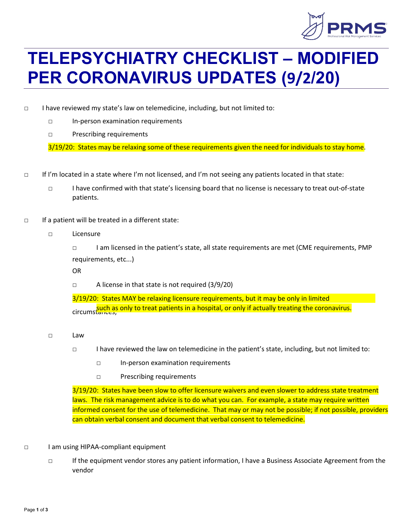

## **TELEPSYCHIATRY CHECKLIST – MODIFIED PER CORONAVIRUS UPDATES (9/2/20)**

- □ I have reviewed my state's law on telemedicine, including, but not limited to:
	- □ In-person examination requirements
	- □ Prescribing requirements

3/19/20: States may be relaxing some of these requirements given the need for individuals to stay home.

- □ If I'm located in a state where I'm not licensed, and I'm not seeing any patients located in that state:
	- □ I have confirmed with that state's licensing board that no license is necessary to treat out-of-state patients.
- □ If a patient will be treated in a different state:
	- □ Licensure
		- □ I am licensed in the patient's state, all state requirements are met (CME requirements, PMP requirements, etc...)

OR

□ A license in that state is not required (3/9/20)

3/19/20: States MAY be relaxing licensure requirements, but it may be only in limited circumstances, such as only to treat patients in a hospital, or only if actually treating the coronavirus.

- □ Law
	- □ I have reviewed the law on telemedicine in the patient's state, including, but not limited to:
		- □ In-person examination requirements
		- □ Prescribing requirements

3/19/20: States have been slow to offer licensure waivers and even slower to address state treatment laws. The risk management advice is to do what you can. For example, a state may require written informed consent for the use of telemedicine. That may or may not be possible; if not possible, providers can obtain verbal consent and document that verbal consent to telemedicine.

- □ I am using HIPAA-compliant equipment
	- □ If the equipment vendor stores any patient information, I have a Business Associate Agreement from the vendor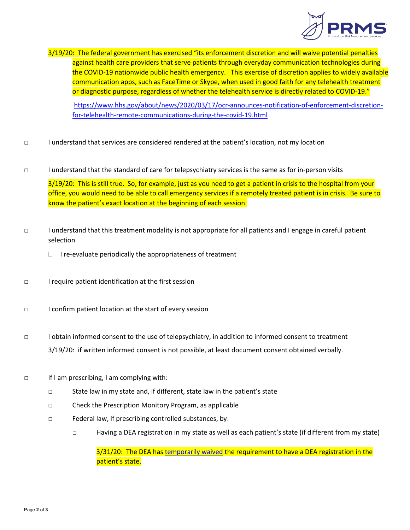

3/19/20: The federal government has exercised "its enforcement discretion and will waive potential penalties against health care providers that serve patients through everyday communication technologies during the COVID-19 nationwide public health emergency. This exercise of discretion applies to widely available communication apps, such as FaceTime or Skype, when used in good faith for any telehealth treatment or diagnostic purpose, regardless of whether the telehealth service is directly related to COVID-19."

[https://www.hhs.gov/about/news/2020/03/17/ocr-announces-notification-of-enforcement-discretion](https://www.hhs.gov/about/news/2020/03/17/ocr-announces-notification-of-enforcement-discretion-for-telehealth-remote-communications-during-the-covid-19.html)[for-telehealth-remote-communications-during-the-covid-19.html](https://www.hhs.gov/about/news/2020/03/17/ocr-announces-notification-of-enforcement-discretion-for-telehealth-remote-communications-during-the-covid-19.html) 

- □ I understand that services are considered rendered at the patient's location, not my location
- □ I understand that the standard of care for telepsychiatry services is the same as for in-person visits

3/19/20: This is still true. So, for example, just as you need to get a patient in crisis to the hospital from your office, you would need to be able to call emergency services if a remotely treated patient is in crisis. Be sure to know the patient's exact location at the beginning of each session.

- □ I understand that this treatment modality is not appropriate for all patients and I engage in careful patient selection
	- $\Box$  I re-evaluate periodically the appropriateness of treatment
- □ I require patient identification at the first session
- □ I confirm patient location at the start of every session
- □ I obtain informed consent to the use of telepsychiatry, in addition to informed consent to treatment 3/19/20: if written informed consent is not possible, at least document consent obtained verbally.
- □ If I am prescribing, I am complying with:
	- □ State law in my state and, if different, state law in the patient's state
	- □ Check the Prescription Monitory Program, as applicable
	- □ Federal law, if prescribing controlled substances, by:
		- □ Having a DEA registration in my state as well as each patient's state (if different from my state)

3/31/20: The DEA has [temporarily waived](https://www.deadiversion.usdoj.gov/GDP/(DEA-DC-018)(DEA067)%20DEA%20state%20reciprocity%20(final)(Signed).pdf) the requirement to have a DEA registration in the patient's state.